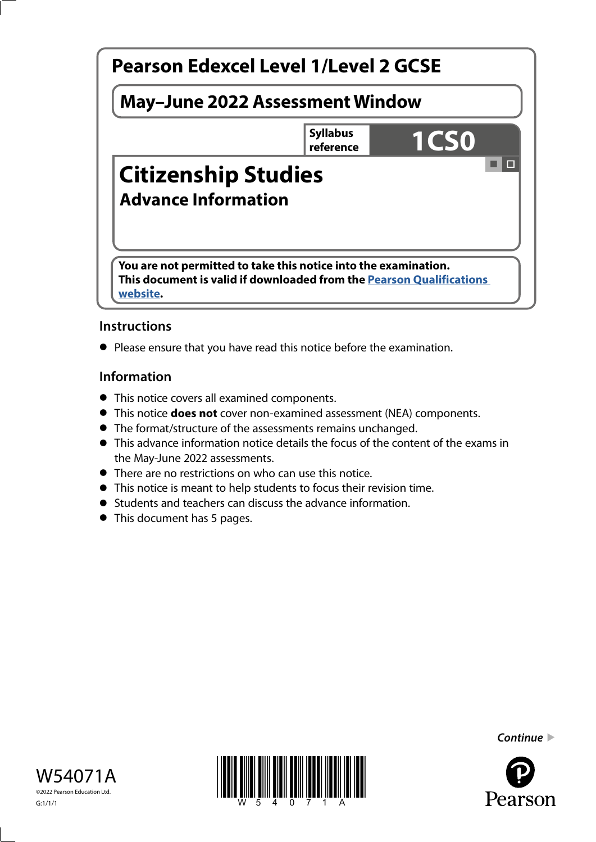

## **Instructions**

**•** Please ensure that you have read this notice before the examination.

## **Information**

- This notice covers all examined components.
- This notice **does not** cover non-examined assessment (NEA) components.
- The format/structure of the assessments remains unchanged.
- This advance information notice details the focus of the content of the exams in the May-June 2022 assessments.
- There are no restrictions on who can use this notice.
- This notice is meant to help students to focus their revision time.
- Students and teachers can discuss the advance information.
- This document has 5 pages.







*Continue* 

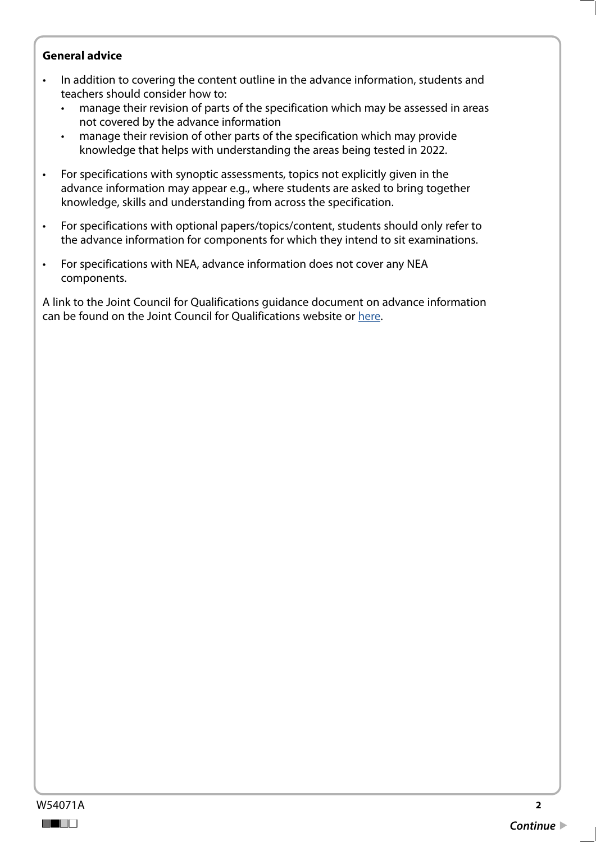#### **General advice**

- In addition to covering the content outline in the advance information, students and teachers should consider how to:
	- manage their revision of parts of the specification which may be assessed in areas not covered by the advance information
	- manage their revision of other parts of the specification which may provide knowledge that helps with understanding the areas being tested in 2022.
- For specifications with synoptic assessments, topics not explicitly given in the advance information may appear e.g., where students are asked to bring together knowledge, skills and understanding from across the specification.
- For specifications with optional papers/topics/content, students should only refer to the advance information for components for which they intend to sit examinations.
- For specifications with NEA, advance information does not cover any NEA components.

A link to the Joint Council for Qualifications guidance document on advance information can be found on the Joint Council for Qualifications website or [here](https://www.jcq.org.uk/wp-content/uploads/2021/10/Advance-Information-for-General-Qualifications-2021-22.pdf).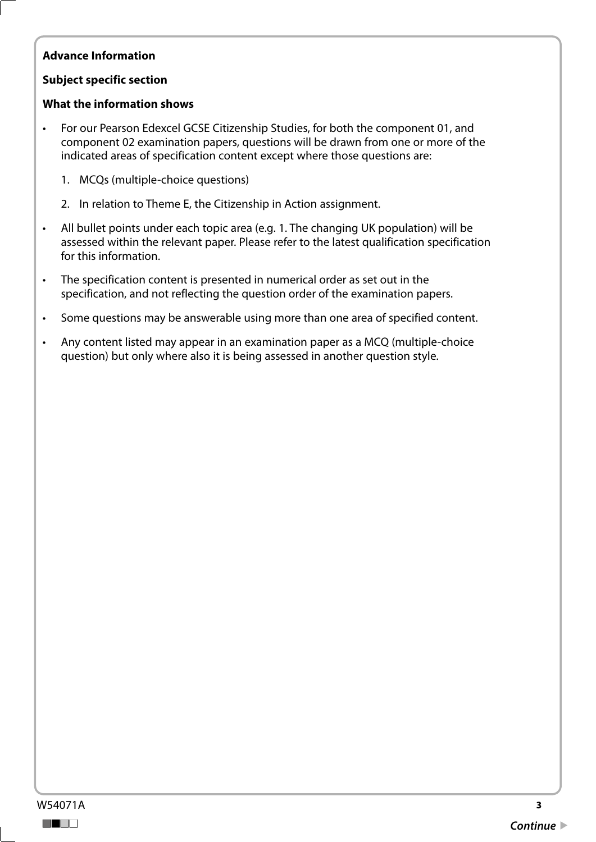## **Advance Information**

#### **Subject specific section**

#### **What the information shows**

- For our Pearson Edexcel GCSE Citizenship Studies, for both the component 01, and component 02 examination papers, questions will be drawn from one or more of the indicated areas of specification content except where those questions are:
	- 1. MCQs (multiple-choice questions)
	- 2. In relation to Theme E, the Citizenship in Action assignment.
- All bullet points under each topic area (e.g. 1. The changing UK population) will be assessed within the relevant paper. Please refer to the latest qualification specification for this information.
- The specification content is presented in numerical order as set out in the specification, and not reflecting the question order of the examination papers.
- Some questions may be answerable using more than one area of specified content.
- Any content listed may appear in an examination paper as a MCQ (multiple-choice question) but only where also it is being assessed in another question style.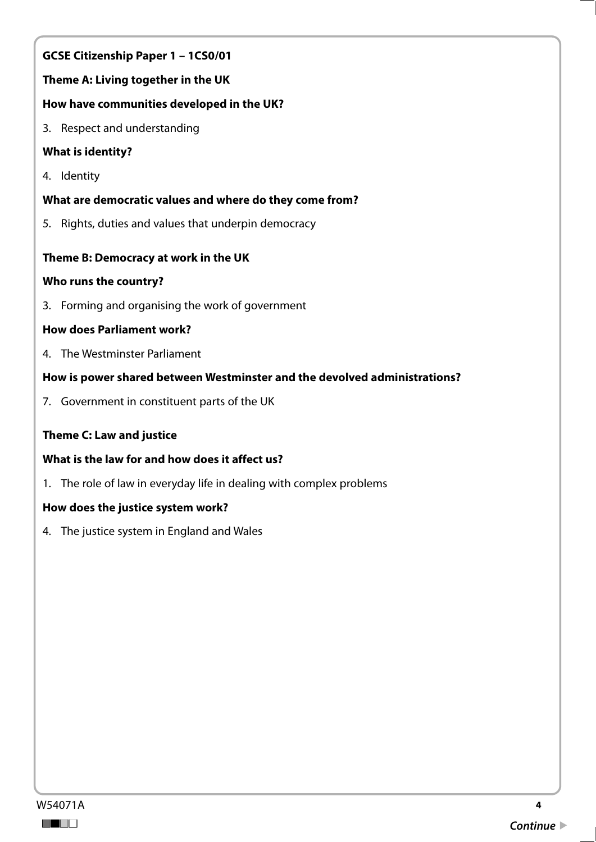# **GCSE Citizenship Paper 1 – 1CS0/01**

# **Theme A: Living together in the UK**

## **How have communities developed in the UK?**

3. Respect and understanding

# **What is identity?**

4. Identity

# **What are democratic values and where do they come from?**

5. Rights, duties and values that underpin democracy

# **Theme B: Democracy at work in the UK**

## **Who runs the country?**

3. Forming and organising the work of government

## **How does Parliament work?**

4. The Westminster Parliament

## **How is power shared between Westminster and the devolved administrations?**

7. Government in constituent parts of the UK

## **Theme C: Law and justice**

## **What is the law for and how does it affect us?**

1. The role of law in everyday life in dealing with complex problems

## **How does the justice system work?**

4. The justice system in England and Wales